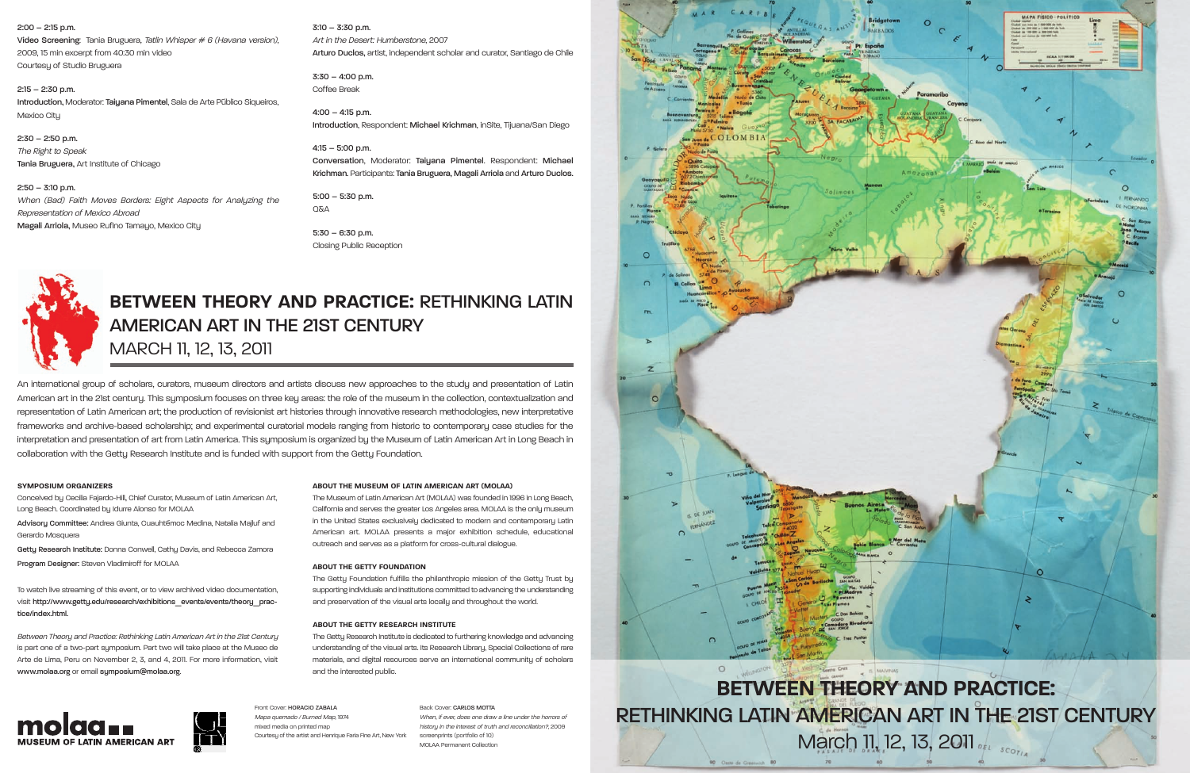2:00 – 2:15 p.m.

Video Screening: Tania Bruguera, Tatlin Whisper # <sup>6</sup> (Havana version), 2009, 15 min excerpt from 40:30 min video Courtesu of Studio Bruguera

2:15 – 2:30 p.m. Introduction, Moderator: Taiyana Pimentel, Sala de Arte Público Siqueiros, Mexico City

2:30 – 2:50 p.m. The Right to Speak Tania Bruguera, Art Institute of Chicago

2:50 – 3:10 p.m. When (Bad) Faith Moves Borders: Eight Aspects for Analyzing the Representation of Mexico Abroad Magali Arriola, Museo Rufino Tamayo, Mexico City

3:10 – 3:30 p.m. Art in the Desert: Humberstone, 2007 Arturo Duclos, artist, independent scholar and curator, Santiago de Chile

3:30 – 4:00 p.m. Coffee Break

4:00 – 4:15 p.m. Introduction, Respondent: Michael Krichman, inSite, Tijuana/San Diego

4:15 – 5:00 p.m. Conversation, Moderator: Taiyana Pimentel. Respondent: Michael Krichman. Participants: Tania Bruguera, Magali Arriola and Arturo Duclos.

5:00 – 5:30 p.m. O<sub>N</sub>A

5:30 – 6:30 p.m. Closing Public Reception



**BETWEEN THEORY AND PRACTICE:** RETHINKING LATIN AMERICAN ARTIN THE 21ST CENTURY MARCH 11, 12, 13, 2011